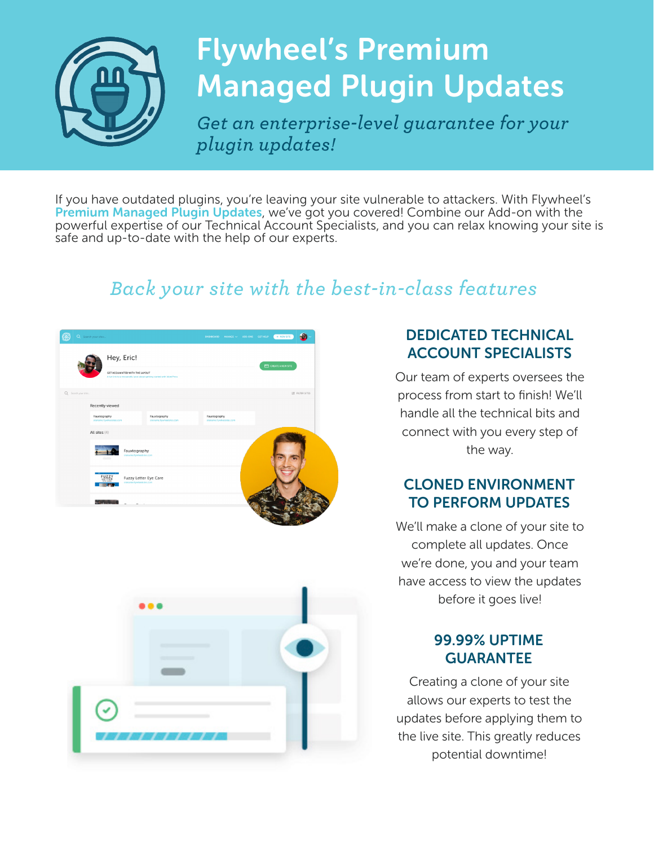

# Flywheel's Premium Managed Plugin Updates

*Get an enterprise-level guarantee for your plugin updates!*

If you have outdated plugins, you're leaving your site vulnerable to attackers. With Flywheel's Premium Managed Plugin Updates, we've got you covered! Combine our Add-on with the powerful expertise of our Technical Account Specialists, and you can relax knowing your site is safe and up-to-date with the help of our experts.

### *Back your site with the best-in-class features*



#### DEDICATED TECHNICAL ACCOUNT SPECIALISTS

Our team of experts oversees the process from start to finish! We'll handle all the technical bits and connect with you every step of the way.

#### CLONED ENVIRONMENT TO PERFORM UPDATES

We'll make a clone of your site to complete all updates. Once we're done, you and your team have access to view the updates before it goes live!

#### 99.99% UPTIME GUARANTEE

Creating a clone of your site allows our experts to test the updates before applying them to the live site. This greatly reduces potential downtime!